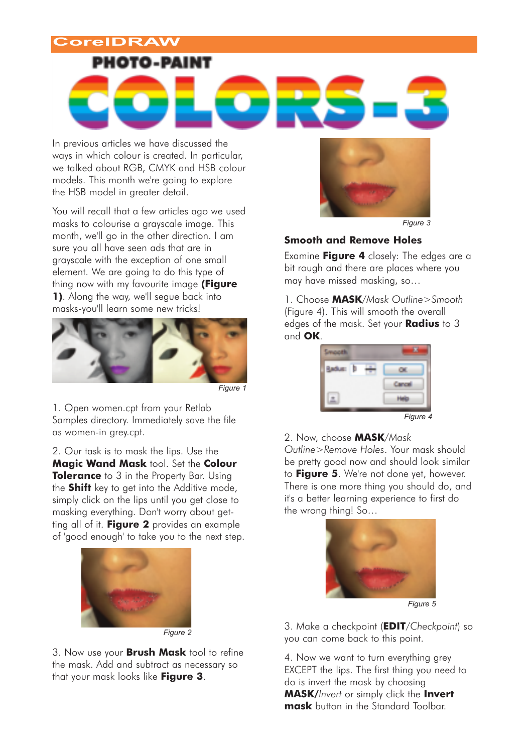## **CorelDRAW**



In previous articles we have discussed the ways in which colour is created. In particular, we talked about RGB, CMYK and HSB colour models. This month we're going to explore the HSB model in greater detail.

You will recall that a few articles ago we used masks to colourise a grayscale image. This month, we'll go in the other direction. I am sure you all have seen ads that are in grayscale with the exception of one small element. We are going to do this type of thing now with my favourite image **(Figure 1)**. Along the way, we'll segue back into masks-you'll learn some new tricks!



1. Open women.cpt from your Retlab Samples directory. Immediately save the file as women-in grey.cpt.

2. Our task is to mask the lips. Use the **Magic Wand Mask** tool. Set the **Colour Tolerance** to 3 in the Property Bar. Using the **Shift** key to get into the Additive mode, simply click on the lips until you get close to masking everything. Don't worry about getting all of it. **Figure 2** provides an example of 'good enough' to take you to the next step.



3. Now use your **Brush Mask** tool to refine the mask. Add and subtract as necessary so that your mask looks like **Figure 3**.



*Figure 3*

### **Smooth and Remove Holes**

Examine **Figure 4** closely: The edges are a bit rough and there are places where you may have missed masking, so…

1. Choose **MASK***/Mask Outline>Smooth* (Figure 4). This will smooth the overall edges of the mask. Set your **Radius** to 3 and **OK**.

Reduct Esperá **Idal** *Figure 4*

#### 2. Now, choose **MASK***/Mask*

*Outline>Remove Holes*. Your mask should be pretty good now and should look similar to **Figure 5**. We're not done yet, however. There is one more thing you should do, and it's a better learning experience to first do the wrong thing! So…



3. Make a checkpoint (**EDIT***/Checkpoint*) so you can come back to this point.

4. Now we want to turn everything grey EXCEPT the lips. The first thing you need to do is invert the mask by choosing **MASK/***Invert* or simply click the **Invert mask** button in the Standard Toolbar.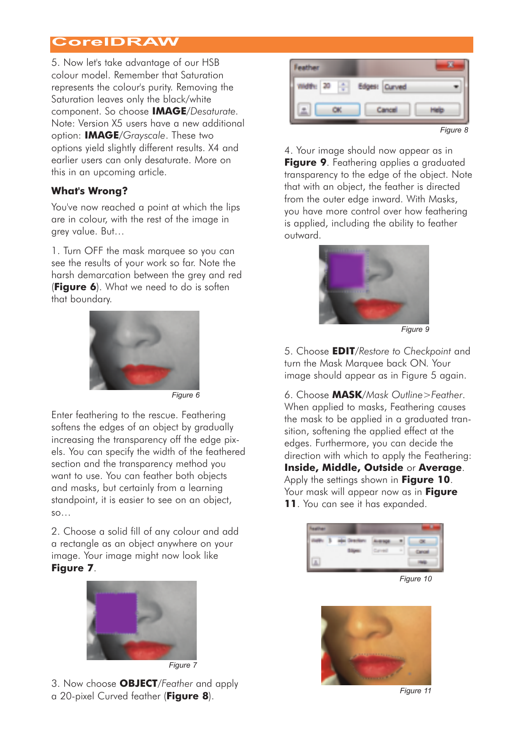# **CorelDRAW**

5. Now let's take advantage of our HSB colour model. Remember that Saturation represents the colour's purity. Removing the Saturation leaves only the black/white component. So choose **IMAGE**/*Desaturate.* Note: Version X5 users have a new additional option: **IMAGE**/*Grayscale*. These two options yield slightly different results. X4 and earlier users can only desaturate. More on this in an upcoming article.

### **What's Wrong?**

You've now reached a point at which the lips are in colour, with the rest of the image in grey value. But…

1. Turn OFF the mask marquee so you can see the results of your work so far. Note the harsh demarcation between the grey and red (**Figure 6**). What we need to do is soften that boundary.



*Figure 6*

Enter feathering to the rescue. Feathering softens the edges of an object by gradually increasing the transparency off the edge pixels. You can specify the width of the feathered section and the transparency method you want to use. You can feather both objects and masks, but certainly from a learning standpoint, it is easier to see on an object, so…

2. Choose a solid fill of any colour and add a rectangle as an object anywhere on your image. Your image might now look like **Figure 7**.



3. Now choose **OBJECT**/*Feather* and apply a 20-pixel Curved feather (**Figure 8**).



4. Your image should now appear as in **Figure 9**. Feathering applies a graduated transparency to the edge of the object. Note that with an object, the feather is directed from the outer edge inward. With Masks, you have more control over how feathering is applied, including the ability to feather outward.



*Figure 9*

5. Choose **EDIT**/*Restore to Checkpoint* and turn the Mask Marquee back ON. Your image should appear as in Figure 5 again.

6. Choose **MASK**/*Mask Outline>Feather*. When applied to masks, Feathering causes the mask to be applied in a graduated transition, softening the applied effect at the edges. Furthermore, you can decide the direction with which to apply the Feathering: **Inside, Middle, Outside** or **Average**. Apply the settings shown in **Figure 10**. Your mask will appear now as in **Figure 11**. You can see it has expanded.



*Figure 10*



*Figure 11*